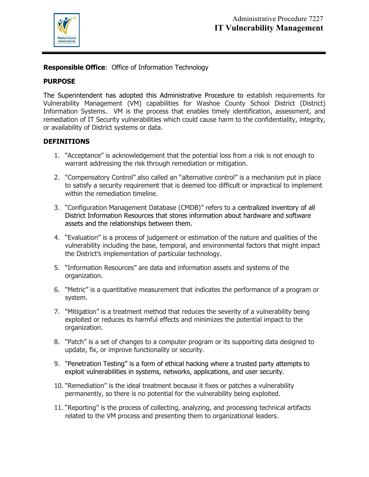

**Responsible Office**: Office of Information Technology

## **PURPOSE**

The Superintendent has adopted this Administrative Procedure to establish requirements for Vulnerability Management (VM) capabilities for Washoe County School District (District) Information Systems. VM is the process that enables timely identification, assessment, and remediation of IT Security vulnerabilities which could cause harm to the confidentiality, integrity, or availability of District systems or data.

### **DEFINITIONS**

- 1. "Acceptance" is acknowledgement that the potential loss from a risk is not enough to warrant addressing the risk through remediation or mitigation.
- 2. "Compensatory Control" also called an "alternative control" is a mechanism put in place to satisfy a security requirement that is deemed too difficult or impractical to implement within the remediation timeline.
- 3. "Configuration Management Database (CMDB)" refers to a centralized inventory of all District Information Resources that stores information about hardware and software assets and the relationships between them.
- 4. "Evaluation" is a process of judgement or estimation of the nature and qualities of the vulnerability including the base, temporal, and environmental factors that might impact the District's implementation of particular technology.
- 5. "Information Resources" are data and information assets and systems of the organization.
- 6. "Metric" is a quantitative measurement that indicates the performance of a program or system.
- 7. "Mitigation" is a treatment method that reduces the severity of a vulnerability being exploited or reduces its harmful effects and minimizes the potential impact to the organization.
- 8. "Patch" is a set of changes to a computer program or its supporting data designed to update, fix, or improve functionality or security.
- 9. "Penetration Testing" is a form of ethical hacking where a trusted party attempts to exploit vulnerabilities in systems, networks, applications, and user security.
- 10. "Remediation" is the ideal treatment because it fixes or patches a vulnerability permanently, so there is no potential for the vulnerability being exploited.
- 11. "Reporting" is the process of collecting, analyzing, and processing technical artifacts related to the VM process and presenting them to organizational leaders.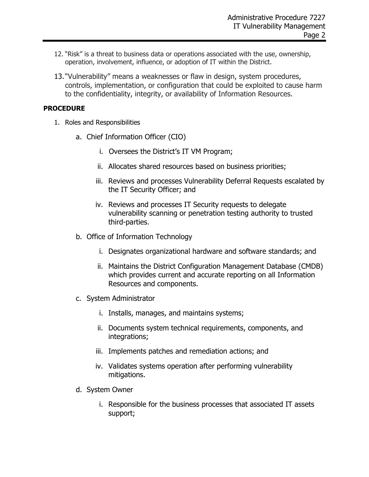- 12. "Risk" is a threat to business data or operations associated with the use, ownership, operation, involvement, influence, or adoption of IT within the District.
- 13."Vulnerability" means a weaknesses or flaw in design, system procedures, controls, implementation, or configuration that could be exploited to cause harm to the confidentiality, integrity, or availability of Information Resources.

# **PROCEDURE**

- 1. Roles and Responsibilities
	- a. Chief Information Officer (CIO)
		- i. Oversees the District's IT VM Program;
		- ii. Allocates shared resources based on business priorities;
		- iii. Reviews and processes Vulnerability Deferral Requests escalated by the IT Security Officer; and
		- iv. Reviews and processes IT Security requests to delegate vulnerability scanning or penetration testing authority to trusted third-parties.
	- b. Office of Information Technology
		- i. Designates organizational hardware and software standards; and
		- ii. Maintains the District Configuration Management Database (CMDB) which provides current and accurate reporting on all Information Resources and components.
	- c. System Administrator
		- i. Installs, manages, and maintains systems;
		- ii. Documents system technical requirements, components, and integrations;
		- iii. Implements patches and remediation actions; and
		- iv. Validates systems operation after performing vulnerability mitigations.
	- d. System Owner
		- i. Responsible for the business processes that associated IT assets support;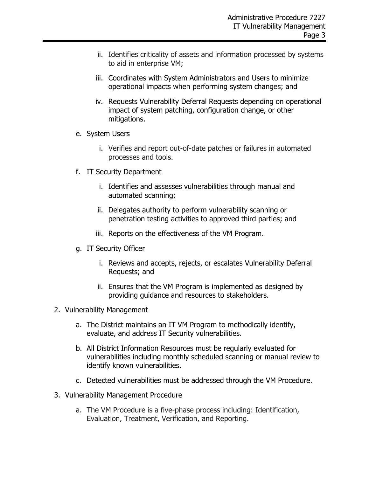- ii. Identifies criticality of assets and information processed by systems to aid in enterprise VM;
- iii. Coordinates with System Administrators and Users to minimize operational impacts when performing system changes; and
- iv. Requests Vulnerability Deferral Requests depending on operational impact of system patching, configuration change, or other mitigations.
- e. System Users
	- i. Verifies and report out-of-date patches or failures in automated processes and tools.
- f. IT Security Department
	- i. Identifies and assesses vulnerabilities through manual and automated scanning;
	- ii. Delegates authority to perform vulnerability scanning or penetration testing activities to approved third parties; and
	- iii. Reports on the effectiveness of the VM Program.
- g. IT Security Officer
	- i. Reviews and accepts, rejects, or escalates Vulnerability Deferral Requests; and
	- ii. Ensures that the VM Program is implemented as designed by providing guidance and resources to stakeholders.
- 2. Vulnerability Management
	- a. The District maintains an IT VM Program to methodically identify, evaluate, and address IT Security vulnerabilities.
	- b. All District Information Resources must be regularly evaluated for vulnerabilities including monthly scheduled scanning or manual review to identify known vulnerabilities.
	- c. Detected vulnerabilities must be addressed through the VM Procedure.
- 3. Vulnerability Management Procedure
	- a. The VM Procedure is a five-phase process including: Identification, Evaluation, Treatment, Verification, and Reporting.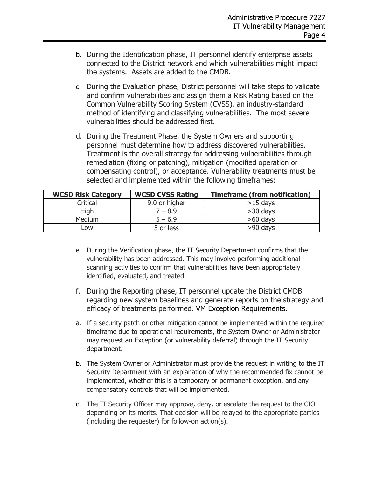- b. During the Identification phase, IT personnel identify enterprise assets connected to the District network and which vulnerabilities might impact the systems. Assets are added to the CMDB.
- c. During the Evaluation phase, District personnel will take steps to validate and confirm vulnerabilities and assign them a Risk Rating based on the Common Vulnerability Scoring System (CVSS), an industry-standard method of identifying and classifying vulnerabilities. The most severe vulnerabilities should be addressed first.
- d. During the Treatment Phase, the System Owners and supporting personnel must determine how to address discovered vulnerabilities. Treatment is the overall strategy for addressing vulnerabilities through remediation (fixing or patching), mitigation (modified operation or compensating control), or acceptance. Vulnerability treatments must be selected and implemented within the following timeframes:

| <b>WCSD Risk Category</b> | <b>WCSD CVSS Rating</b> | <b>Timeframe (from notification)</b> |
|---------------------------|-------------------------|--------------------------------------|
| Critical                  | 9.0 or higher           | $>15$ days                           |
| High                      | $7 - 8.9$               | $>30$ days                           |
| <b>Medium</b>             | $5 - 6.9$               | $>60$ days                           |
| LOW                       | 5 or less               | $>90$ days                           |

- e. During the Verification phase, the IT Security Department confirms that the vulnerability has been addressed. This may involve performing additional scanning activities to confirm that vulnerabilities have been appropriately identified, evaluated, and treated.
- f. During the Reporting phase, IT personnel update the District CMDB regarding new system baselines and generate reports on the strategy and efficacy of treatments performed. VM Exception Requirements.
- a. If a security patch or other mitigation cannot be implemented within the required timeframe due to operational requirements, the System Owner or Administrator may request an Exception (or vulnerability deferral) through the IT Security department.
- b. The System Owner or Administrator must provide the request in writing to the IT Security Department with an explanation of why the recommended fix cannot be implemented, whether this is a temporary or permanent exception, and any compensatory controls that will be implemented.
- c. The IT Security Officer may approve, deny, or escalate the request to the CIO depending on its merits. That decision will be relayed to the appropriate parties (including the requester) for follow-on action(s).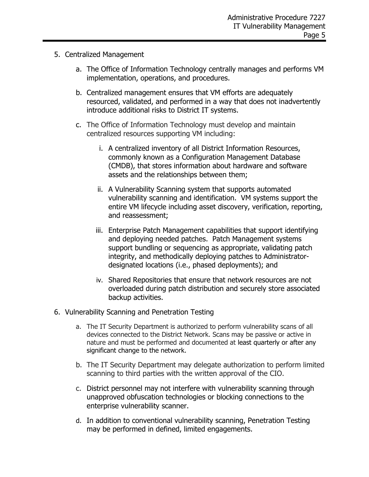- 5. Centralized Management
	- a. The Office of Information Technology centrally manages and performs VM implementation, operations, and procedures.
	- b. Centralized management ensures that VM efforts are adequately resourced, validated, and performed in a way that does not inadvertently introduce additional risks to District IT systems.
	- c. The Office of Information Technology must develop and maintain centralized resources supporting VM including:
		- i. A centralized inventory of all District Information Resources, commonly known as a Configuration Management Database (CMDB), that stores information about hardware and software assets and the relationships between them;
		- ii. A Vulnerability Scanning system that supports automated vulnerability scanning and identification. VM systems support the entire VM lifecycle including asset discovery, verification, reporting, and reassessment;
		- iii. Enterprise Patch Management capabilities that support identifying and deploying needed patches. Patch Management systems support bundling or sequencing as appropriate, validating patch integrity, and methodically deploying patches to Administratordesignated locations (i.e., phased deployments); and
		- iv. Shared Repositories that ensure that network resources are not overloaded during patch distribution and securely store associated backup activities.
- 6. Vulnerability Scanning and Penetration Testing
	- a. The IT Security Department is authorized to perform vulnerability scans of all devices connected to the District Network. Scans may be passive or active in nature and must be performed and documented at least quarterly or after any significant change to the network.
	- b. The IT Security Department may delegate authorization to perform limited scanning to third parties with the written approval of the CIO.
	- c. District personnel may not interfere with vulnerability scanning through unapproved obfuscation technologies or blocking connections to the enterprise vulnerability scanner.
	- d. In addition to conventional vulnerability scanning, Penetration Testing may be performed in defined, limited engagements.